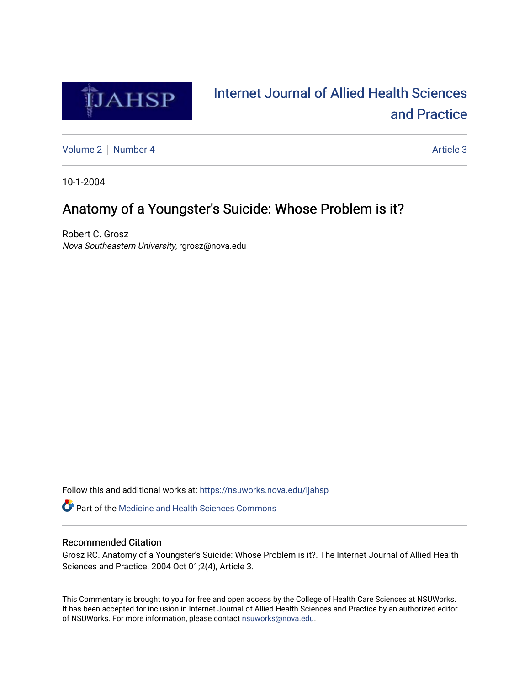

# [Internet Journal of Allied Health Sciences](https://nsuworks.nova.edu/ijahsp)  [and Practice](https://nsuworks.nova.edu/ijahsp)

[Volume 2](https://nsuworks.nova.edu/ijahsp/vol2) | [Number 4](https://nsuworks.nova.edu/ijahsp/vol2/iss4) Article 3

10-1-2004

### Anatomy of a Youngster's Suicide: Whose Problem is it?

Robert C. Grosz Nova Southeastern University, rgrosz@nova.edu

Follow this and additional works at: [https://nsuworks.nova.edu/ijahsp](https://nsuworks.nova.edu/ijahsp?utm_source=nsuworks.nova.edu%2Fijahsp%2Fvol2%2Fiss4%2F3&utm_medium=PDF&utm_campaign=PDFCoverPages) 

**C** Part of the Medicine and Health Sciences Commons

#### Recommended Citation

Grosz RC. Anatomy of a Youngster's Suicide: Whose Problem is it?. The Internet Journal of Allied Health Sciences and Practice. 2004 Oct 01;2(4), Article 3.

This Commentary is brought to you for free and open access by the College of Health Care Sciences at NSUWorks. It has been accepted for inclusion in Internet Journal of Allied Health Sciences and Practice by an authorized editor of NSUWorks. For more information, please contact [nsuworks@nova.edu.](mailto:nsuworks@nova.edu)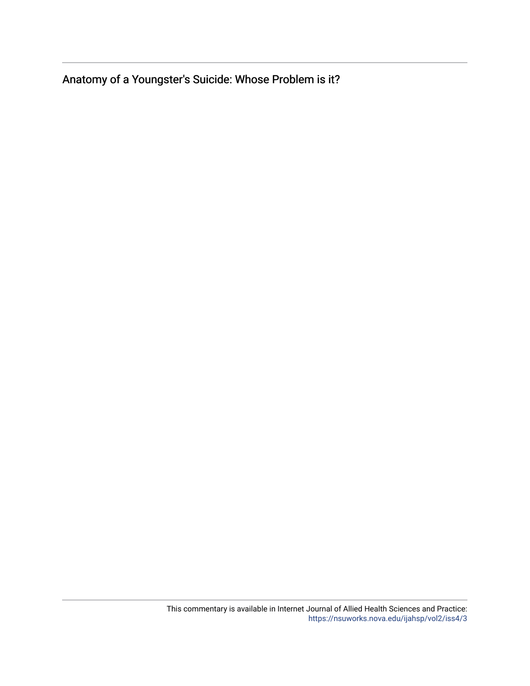Anatomy of a Youngster's Suicide: Whose Problem is it?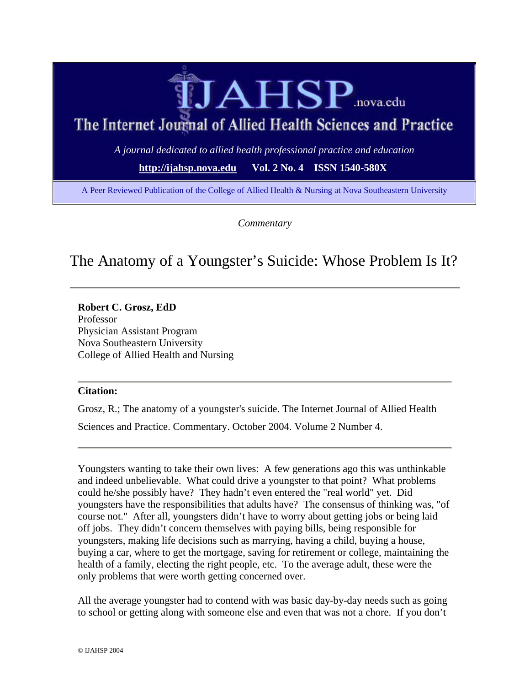

# The Internet Journal of Allied Health Sciences and Practice

*A journal dedicated to allied health professional practice and education*

**http://ijahsp.nova.edu Vol. 2 No. 4 ISSN 1540-580X**

A Peer Reviewed Publication of the College of Allied Health & Nursing at Nova Southeastern University

*Commentary*

### The Anatomy of a Youngster's Suicide: Whose Problem Is It?

**Robert C. Grosz, EdD** Professor Physician Assistant Program Nova Southeastern University College of Allied Health and Nursing

#### **Citation:**

Grosz, R.; The anatomy of a youngster's suicide. The Internet Journal of Allied Health

Sciences and Practice. Commentary. October 2004. Volume 2 Number 4.

Youngsters wanting to take their own lives: A few generations ago this was unthinkable and indeed unbelievable. What could drive a youngster to that point? What problems could he/she possibly have? They hadn't even entered the "real world" yet. Did youngsters have the responsibilities that adults have? The consensus of thinking was, "of course not." After all, youngsters didn't have to worry about getting jobs or being laid off jobs. They didn't concern themselves with paying bills, being responsible for youngsters, making life decisions such as marrying, having a child, buying a house, buying a car, where to get the mortgage, saving for retirement or college, maintaining the health of a family, electing the right people, etc. To the average adult, these were the only problems that were worth getting concerned over.

All the average youngster had to contend with was basic day-by-day needs such as going to school or getting along with someone else and even that was not a chore. If you don't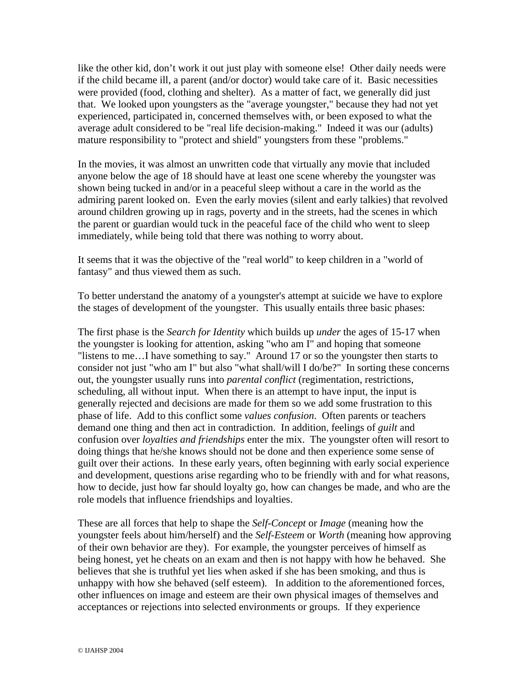like the other kid, don't work it out just play with someone else! Other daily needs were if the child became ill, a parent (and/or doctor) would take care of it. Basic necessities were provided (food, clothing and shelter). As a matter of fact, we generally did just that. We looked upon youngsters as the "average youngster," because they had not yet experienced, participated in, concerned themselves with, or been exposed to what the average adult considered to be "real life decision-making." Indeed it was our (adults) mature responsibility to "protect and shield" youngsters from these "problems."

In the movies, it was almost an unwritten code that virtually any movie that included anyone below the age of 18 should have at least one scene whereby the youngster was shown being tucked in and/or in a peaceful sleep without a care in the world as the admiring parent looked on. Even the early movies (silent and early talkies) that revolved around children growing up in rags, poverty and in the streets, had the scenes in which the parent or guardian would tuck in the peaceful face of the child who went to sleep immediately, while being told that there was nothing to worry about.

It seems that it was the objective of the "real world" to keep children in a "world of fantasy" and thus viewed them as such.

To better understand the anatomy of a youngster's attempt at suicide we have to explore the stages of development of the youngster. This usually entails three basic phases:

The first phase is the *Search for Identity* which builds up *under* the ages of 15-17 when the youngster is looking for attention, asking "who am I" and hoping that someone "listens to me…I have something to say." Around 17 or so the youngster then starts to consider not just "who am I" but also "what shall/will I do/be?" In sorting these concerns out, the youngster usually runs into *parental conflict* (regimentation, restrictions, scheduling, all without input. When there is an attempt to have input, the input is generally rejected and decisions are made for them so we add some frustration to this phase of life. Add to this conflict some *values confusion*. Often parents or teachers demand one thing and then act in contradiction. In addition, feelings of *guilt* and confusion over *loyalties and friendships* enter the mix. The youngster often will resort to doing things that he/she knows should not be done and then experience some sense of guilt over their actions. In these early years, often beginning with early social experience and development, questions arise regarding who to be friendly with and for what reasons, how to decide, just how far should loyalty go, how can changes be made, and who are the role models that influence friendships and loyalties.

These are all forces that help to shape the *Self-Concept* or *Image* (meaning how the youngster feels about him/herself) and the *Self-Esteem* or *Worth* (meaning how approving of their own behavior are they). For example, the youngster perceives of himself as being honest, yet he cheats on an exam and then is not happy with how he behaved. She believes that she is truthful yet lies when asked if she has been smoking, and thus is unhappy with how she behaved (self esteem). In addition to the aforementioned forces, other influences on image and esteem are their own physical images of themselves and acceptances or rejections into selected environments or groups. If they experience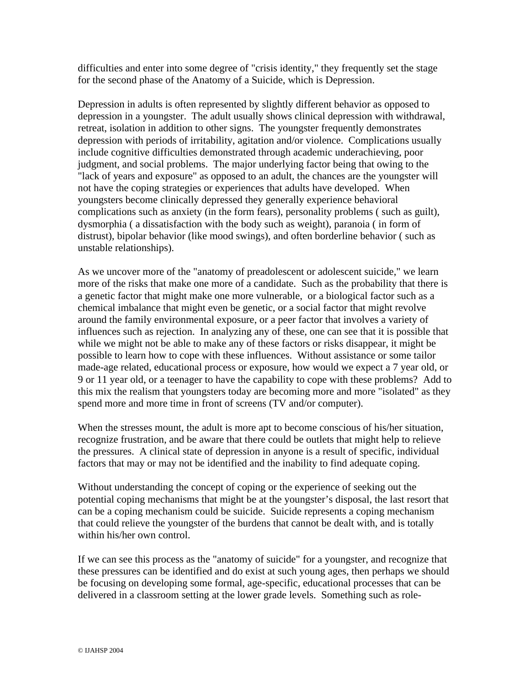difficulties and enter into some degree of "crisis identity," they frequently set the stage for the second phase of the Anatomy of a Suicide, which is Depression.

Depression in adults is often represented by slightly different behavior as opposed to depression in a youngster. The adult usually shows clinical depression with withdrawal, retreat, isolation in addition to other signs. The youngster frequently demonstrates depression with periods of irritability, agitation and/or violence. Complications usually include cognitive difficulties demonstrated through academic underachieving, poor judgment, and social problems. The major underlying factor being that owing to the "lack of years and exposure" as opposed to an adult, the chances are the youngster will not have the coping strategies or experiences that adults have developed. When youngsters become clinically depressed they generally experience behavioral complications such as anxiety (in the form fears), personality problems ( such as guilt), dysmorphia ( a dissatisfaction with the body such as weight), paranoia ( in form of distrust), bipolar behavior (like mood swings), and often borderline behavior ( such as unstable relationships).

As we uncover more of the "anatomy of preadolescent or adolescent suicide," we learn more of the risks that make one more of a candidate. Such as the probability that there is a genetic factor that might make one more vulnerable, or a biological factor such as a chemical imbalance that might even be genetic, or a social factor that might revolve around the family environmental exposure, or a peer factor that involves a variety of influences such as rejection. In analyzing any of these, one can see that it is possible that while we might not be able to make any of these factors or risks disappear, it might be possible to learn how to cope with these influences. Without assistance or some tailor made-age related, educational process or exposure, how would we expect a 7 year old, or 9 or 11 year old, or a teenager to have the capability to cope with these problems? Add to this mix the realism that youngsters today are becoming more and more "isolated" as they spend more and more time in front of screens (TV and/or computer).

When the stresses mount, the adult is more apt to become conscious of his/her situation, recognize frustration, and be aware that there could be outlets that might help to relieve the pressures. A clinical state of depression in anyone is a result of specific, individual factors that may or may not be identified and the inability to find adequate coping.

Without understanding the concept of coping or the experience of seeking out the potential coping mechanisms that might be at the youngster's disposal, the last resort that can be a coping mechanism could be suicide. Suicide represents a coping mechanism that could relieve the youngster of the burdens that cannot be dealt with, and is totally within his/her own control.

If we can see this process as the "anatomy of suicide" for a youngster, and recognize that these pressures can be identified and do exist at such young ages, then perhaps we should be focusing on developing some formal, age-specific, educational processes that can be delivered in a classroom setting at the lower grade levels. Something such as role